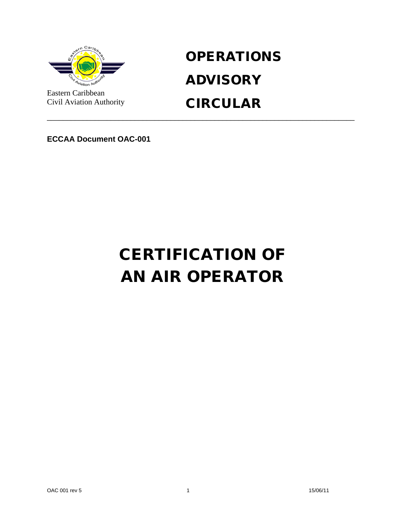

Eastern Caribbean Civil Aviation Authority

# **OPERATIONS** ADVISORY CIRCULAR

**ECCAA Document OAC-001**

# CERTIFICATION OF AN AIR OPERATOR

\_\_\_\_\_\_\_\_\_\_\_\_\_\_\_\_\_\_\_\_\_\_\_\_\_\_\_\_\_\_\_\_\_\_\_\_\_\_\_\_\_\_\_\_\_\_\_\_\_\_\_\_\_\_\_\_\_\_\_\_\_\_\_\_\_\_\_\_\_\_\_\_\_\_\_\_\_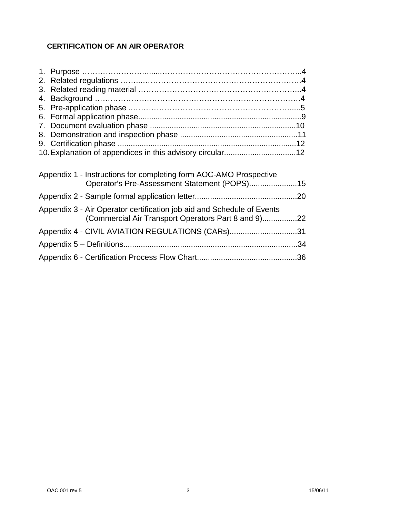# **CERTIFICATION OF AN AIR OPERATOR**

| Appendix 1 - Instructions for completing form AOC-AMO Prospective<br>Operator's Pre-Assessment Statement (POPS)15             |  |
|-------------------------------------------------------------------------------------------------------------------------------|--|
|                                                                                                                               |  |
| Appendix 3 - Air Operator certification job aid and Schedule of Events<br>(Commercial Air Transport Operators Part 8 and 9)22 |  |
| Appendix 4 - CIVIL AVIATION REGULATIONS (CARs)31                                                                              |  |
|                                                                                                                               |  |
|                                                                                                                               |  |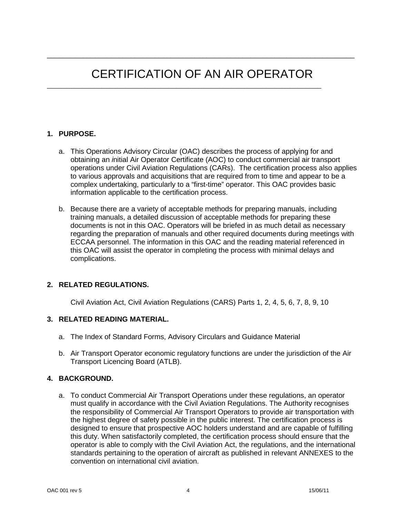# CERTIFICATION OF AN AIR OPERATOR

\_\_\_\_\_\_\_\_\_\_\_\_\_\_\_\_\_\_\_\_\_\_\_\_\_\_\_\_\_\_\_\_\_\_\_\_\_\_\_\_\_\_\_\_\_\_\_\_\_\_\_\_\_\_\_\_\_\_\_\_\_\_\_\_\_\_\_\_\_\_

\_\_\_\_\_\_\_\_\_\_\_\_\_\_\_\_\_\_\_\_\_\_\_\_\_\_\_\_\_\_\_\_\_\_\_\_\_\_\_\_\_\_\_\_\_\_\_\_\_\_\_\_\_\_\_\_\_\_\_\_\_\_\_\_\_\_\_\_\_\_\_\_\_\_\_\_\_

# **1. PURPOSE.**

- a. This Operations Advisory Circular (OAC) describes the process of applying for and obtaining an *i*nitial Air Operator Certificate (AOC) to conduct commercial air transport operations under Civil Aviation Regulations (CARs). The certification process also applies to various approvals and acquisitions that are required from to time and appear to be a complex undertaking, particularly to a "first-time" operator. This OAC provides basic information applicable to the certification process.
- b. Because there are a variety of acceptable methods for preparing manuals, including training manuals, a detailed discussion of acceptable methods for preparing these documents is not in this OAC. Operators will be briefed in as much detail as necessary regarding the preparation of manuals and other required documents during meetings with ECCAA personnel. The information in this OAC and the reading material referenced in this OAC will assist the operator in completing the process with minimal delays and complications.

# **2. RELATED REGULATIONS.**

Civil Aviation Act, Civil Aviation Regulations (CARS) Parts 1, 2, 4, 5, 6, 7, 8, 9, 10

# **3. RELATED READING MATERIAL.**

- a. The Index of Standard Forms, Advisory Circulars and Guidance Material
- b. Air Transport Operator economic regulatory functions are under the jurisdiction of the Air Transport Licencing Board (ATLB).

# **4. BACKGROUND.**

a. To conduct Commercial Air Transport Operations under these regulations, an operator must qualify in accordance with the Civil Aviation Regulations. The Authority recognises the responsibility of Commercial Air Transport Operators to provide air transportation with the highest degree of safety possible in the public interest. The certification process is designed to ensure that prospective AOC holders understand and are capable of fulfilling this duty. When satisfactorily completed, the certification process should ensure that the operator is able to comply with the Civil Aviation Act, the regulations, and the international standards pertaining to the operation of aircraft as published in relevant ANNEXES to the convention on international civil aviation.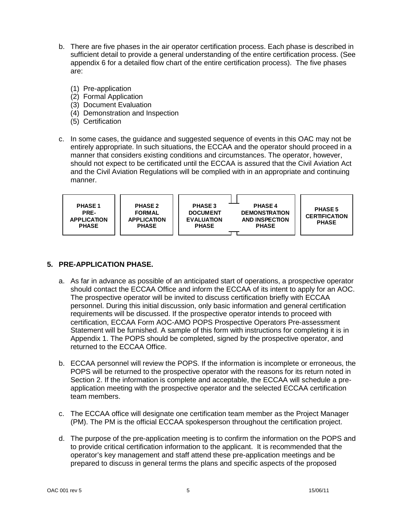- b. There are five phases in the air operator certification process. Each phase is described in sufficient detail to provide a general understanding of the entire certification process. (See appendix 6 for a detailed flow chart of the entire certification process). The five phases are:
	- (1) Pre-application
	- (2) Formal Application
	- (3) Document Evaluation
	- (4) Demonstration and Inspection
	- (5) Certification
- c. In some cases, the guidance and suggested sequence of events in this OAC may not be entirely appropriate. In such situations, the ECCAA and the operator should proceed in a manner that considers existing conditions and circumstances. The operator, however, should not expect to be certificated until the ECCAA is assured that the Civil Aviation Act and the Civil Aviation Regulations will be complied with in an appropriate and continuing manner.

| <b>PHASE1</b><br>PRE-<br><b>APPLICATION</b><br><b>PHASE</b> | <b>PHASE 2</b><br><b>FORMAL</b><br><b>APPLICATION</b><br><b>PHASE</b> | <b>PHASE 3</b><br><b>DOCUMENT</b><br><b>EVALUATION</b><br><b>PHASE</b> | <b>PHASE 4</b><br><b>DEMONSTRATION</b><br><b>AND INSPECTION</b><br><b>PHASE</b> | <b>PHASE 5</b><br><b>CERTIFICATION</b><br><b>PHASE</b> |
|-------------------------------------------------------------|-----------------------------------------------------------------------|------------------------------------------------------------------------|---------------------------------------------------------------------------------|--------------------------------------------------------|
|-------------------------------------------------------------|-----------------------------------------------------------------------|------------------------------------------------------------------------|---------------------------------------------------------------------------------|--------------------------------------------------------|

# **5. PRE-APPLICATION PHASE.**

- a. As far in advance as possible of an anticipated start of operations, a prospective operator should contact the ECCAA Office and inform the ECCAA of its intent to apply for an AOC. The prospective operator will be invited to discuss certification briefly with ECCAA personnel. During this initial discussion, only basic information and general certification requirements will be discussed. If the prospective operator intends to proceed with certification, ECCAA Form AOC-AMO POPS Prospective Operators Pre-assessment Statement will be furnished. A sample of this form with instructions for completing it is in Appendix 1. The POPS should be completed, signed by the prospective operator, and returned to the ECCAA Office.
- b. ECCAA personnel will review the POPS. If the information is incomplete or erroneous, the POPS will be returned to the prospective operator with the reasons for its return noted in Section 2. If the information is complete and acceptable, the ECCAA will schedule a preapplication meeting with the prospective operator and the selected ECCAA certification team members.
- c. The ECCAA office will designate one certification team member as the Project Manager (PM). The PM is the official ECCAA spokesperson throughout the certification project.
- d. The purpose of the pre-application meeting is to confirm the information on the POPS and to provide critical certification information to the applicant. It is recommended that the operator's key management and staff attend these pre-application meetings and be prepared to discuss in general terms the plans and specific aspects of the proposed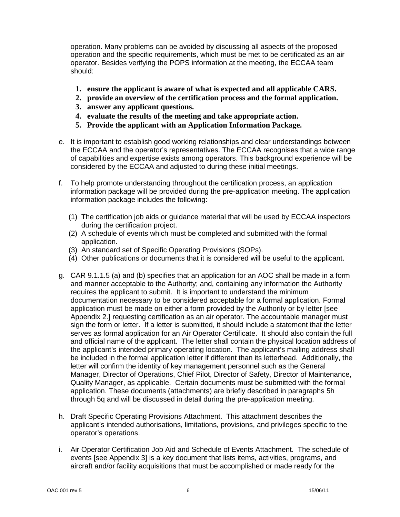operation. Many problems can be avoided by discussing all aspects of the proposed operation and the specific requirements, which must be met to be certificated as an air operator. Besides verifying the POPS information at the meeting, the ECCAA team should:

- **1. ensure the applicant is aware of what is expected and all applicable CARS.**
- **2. provide an overview of the certification process and the formal application.**
- **3. answer any applicant questions.**
- **4. evaluate the results of the meeting and take appropriate action.**
- **5. Provide the applicant with an Application Information Package.**
- e. It is important to establish good working relationships and clear understandings between the ECCAA and the operator's representatives. The ECCAA recognises that a wide range of capabilities and expertise exists among operators. This background experience will be considered by the ECCAA and adjusted to during these initial meetings.
- f. To help promote understanding throughout the certification process, an application information package will be provided during the pre-application meeting. The application information package includes the following:
	- (1) The certification job aids or guidance material that will be used by ECCAA inspectors during the certification project.
	- (2) A schedule of events which must be completed and submitted with the formal application.
	- (3) An standard set of Specific Operating Provisions (SOPs).
	- (4) Other publications or documents that it is considered will be useful to the applicant.
- g. CAR 9.1.1.5 (a) and (b) specifies that an application for an AOC shall be made in a form and manner acceptable to the Authority; and, containing any information the Authority requires the applicant to submit. It is important to understand the minimum documentation necessary to be considered acceptable for a formal application. Formal application must be made on either a form provided by the Authority or by letter [see Appendix 2.] requesting certification as an air operator. The accountable manager must sign the form or letter. If a letter is submitted, it should include a statement that the letter serves as formal application for an Air Operator Certificate. It should also contain the full and official name of the applicant. The letter shall contain the physical location address of the applicant's intended primary operating location. The applicant's mailing address shall be included in the formal application letter if different than its letterhead. Additionally, the letter will confirm the identity of key management personnel such as the General Manager, Director of Operations, Chief Pilot, Director of Safety, Director of Maintenance, Quality Manager, as applicable. Certain documents must be submitted with the formal application. These documents (attachments) are briefly described in paragraphs 5h through 5q and will be discussed in detail during the pre-application meeting.
- h. Draft Specific Operating Provisions Attachment. This attachment describes the applicant's intended authorisations, limitations, provisions, and privileges specific to the operator's operations.
- i. Air Operator Certification Job Aid and Schedule of Events Attachment. The schedule of events [see Appendix 3] is a key document that lists items, activities, programs, and aircraft and/or facility acquisitions that must be accomplished or made ready for the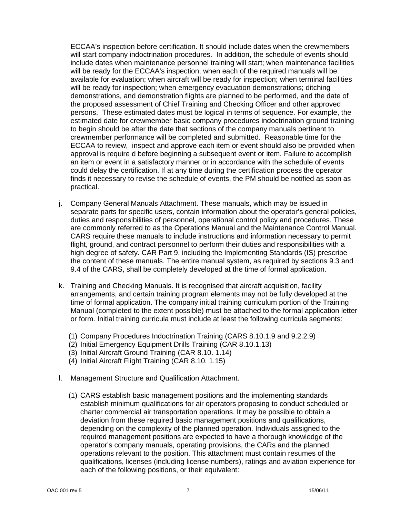ECCAA's inspection before certification. It should include dates when the crewmembers will start company indoctrination procedures. In addition, the schedule of events should include dates when maintenance personnel training will start; when maintenance facilities will be ready for the ECCAA's inspection; when each of the required manuals will be available for evaluation; when aircraft will be ready for inspection; when terminal facilities will be ready for inspection; when emergency evacuation demonstrations; ditching demonstrations, and demonstration flights are planned to be performed, and the date of the proposed assessment of Chief Training and Checking Officer and other approved persons. These estimated dates must be logical in terms of sequence. For example, the estimated date for crewmember basic company procedures indoctrination ground training to begin should be after the date that sections of the company manuals pertinent to crewmember performance will be completed and submitted. Reasonable time for the ECCAA to review, inspect and approve each item or event should also be provided when approval is require d before beginning a subsequent event or item. Failure to accomplish an item or event in a satisfactory manner or in accordance with the schedule of events could delay the certification. If at any time during the certification process the operator finds it necessary to revise the schedule of events, the PM should be notified as soon as practical.

- j. Company General Manuals Attachment. These manuals, which may be issued in separate parts for specific users, contain information about the operator's general policies, duties and responsibilities of personnel, operational control policy and procedures. These are commonly referred to as the Operations Manual and the Maintenance Control Manual. CARS require these manuals to include instructions and information necessary to permit flight, ground, and contract personnel to perform their duties and responsibilities with a high degree of safety. CAR Part 9, including the Implementing Standards (IS) prescribe the content of these manuals. The entire manual system, as required by sections 9.3 and 9.4 of the CARS, shall be completely developed at the time of formal application.
- k. Training and Checking Manuals. It is recognised that aircraft acquisition, facility arrangements, and certain training program elements may not be fully developed at the time of formal application. The company initial training curriculum portion of the Training Manual (completed to the extent possible) must be attached to the formal application letter or form. Initial training curricula must include at least the following curricula segments:
	- (1) Company Procedures Indoctrination Training (CARS 8.10.1.9 and 9.2.2.9)
	- (2) Initial Emergency Equipment Drills Training (CAR 8.10.1.13)
	- (3) Initial Aircraft Ground Training (CAR 8.10. 1.14)
	- (4) Initial Aircraft Flight Training (CAR 8.10. 1.15)
- l. Management Structure and Qualification Attachment.
	- (1) CARS establish basic management positions and the implementing standards establish minimum qualifications for air operators proposing to conduct scheduled or charter commercial air transportation operations. It may be possible to obtain a deviation from these required basic management positions and qualifications, depending on the complexity of the planned operation. Individuals assigned to the required management positions are expected to have a thorough knowledge of the operator's company manuals, operating provisions, the CARs and the planned operations relevant to the position. This attachment must contain resumes of the qualifications, licenses (including license numbers), ratings and aviation experience for each of the following positions, or their equivalent: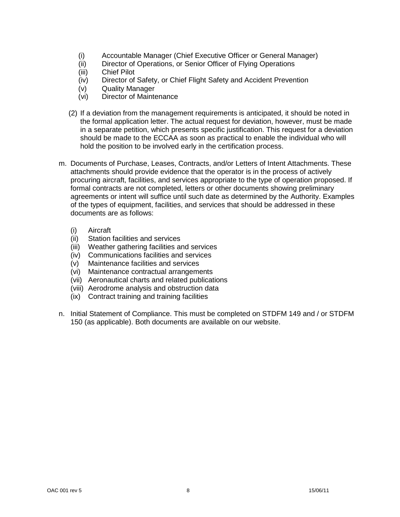- (i) Accountable Manager (Chief Executive Officer or General Manager)
- (ii) Director of Operations, or Senior Officer of Flying Operations
- (iii) Chief Pilot
- (iv) Director of Safety, or Chief Flight Safety and Accident Prevention
- (v) Quality Manager
- (vi) Director of Maintenance
- (2) If a deviation from the management requirements is anticipated, it should be noted in the formal application letter. The actual request for deviation, however, must be made in a separate petition, which presents specific justification. This request for a deviation should be made to the ECCAA as soon as practical to enable the individual who will hold the position to be involved early in the certification process.
- m. Documents of Purchase, Leases, Contracts, and/or Letters of Intent Attachments. These attachments should provide evidence that the operator is in the process of actively procuring aircraft, facilities, and services appropriate to the type of operation proposed. If formal contracts are not completed, letters or other documents showing preliminary agreements or intent will suffice until such date as determined by the Authority. Examples of the types of equipment, facilities, and services that should be addressed in these documents are as follows:
	- (i) Aircraft
	- (ii) Station facilities and services
	- (iii) Weather gathering facilities and services
	- (iv) Communications facilities and services
	- (v) Maintenance facilities and services
	- (vi) Maintenance contractual arrangements
	- (vii) Aeronautical charts and related publications
	- (viii) Aerodrome analysis and obstruction data
	- (ix) Contract training and training facilities
- n. Initial Statement of Compliance. This must be completed on STDFM 149 and / or STDFM 150 (as applicable). Both documents are available on our website.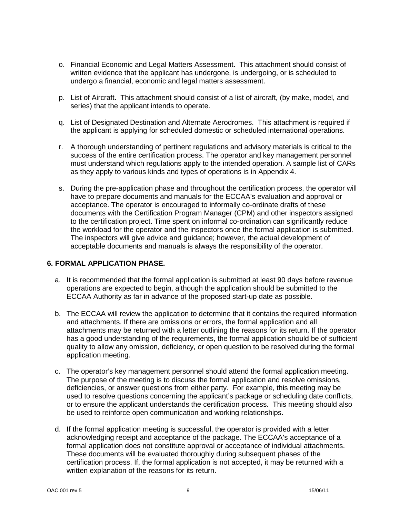- o. Financial Economic and Legal Matters Assessment. This attachment should consist of written evidence that the applicant has undergone, is undergoing, or is scheduled to undergo a financial, economic and legal matters assessment.
- p. List of Aircraft. This attachment should consist of a list of aircraft, (by make, model, and series) that the applicant intends to operate.
- q. List of Designated Destination and Alternate Aerodromes. This attachment is required if the applicant is applying for scheduled domestic or scheduled international operations.
- r. A thorough understanding of pertinent regulations and advisory materials is critical to the success of the entire certification process. The operator and key management personnel must understand which regulations apply to the intended operation. A sample list of CARs as they apply to various kinds and types of operations is in Appendix 4.
- s. During the pre-application phase and throughout the certification process, the operator will have to prepare documents and manuals for the ECCAA's evaluation and approval or acceptance. The operator is encouraged to informally co-ordinate drafts of these documents with the Certification Program Manager (CPM) and other inspectors assigned to the certification project. Time spent on informal co-ordination can significantly reduce the workload for the operator and the inspectors once the formal application is submitted. The inspectors will give advice and guidance; however, the actual development of acceptable documents and manuals is always the responsibility of the operator.

# **6. FORMAL APPLICATION PHASE.**

- a. It is recommended that the formal application is submitted at least 90 days before revenue operations are expected to begin, although the application should be submitted to the ECCAA Authority as far in advance of the proposed start-up date as possible.
- b. The ECCAA will review the application to determine that it contains the required information and attachments. If there are omissions or errors, the formal application and all attachments may be returned with a letter outlining the reasons for its return. If the operator has a good understanding of the requirements, the formal application should be of sufficient quality to allow any omission, deficiency, or open question to be resolved during the formal application meeting.
- c. The operator's key management personnel should attend the formal application meeting. The purpose of the meeting is to discuss the formal application and resolve omissions, deficiencies, or answer questions from either party. For example, this meeting may be used to resolve questions concerning the applicant's package or scheduling date conflicts, or to ensure the applicant understands the certification process. This meeting should also be used to reinforce open communication and working relationships.
- d. If the formal application meeting is successful, the operator is provided with a letter acknowledging receipt and acceptance of the package. The ECCAA's acceptance of a formal application does not constitute approval or acceptance of individual attachments. These documents will be evaluated thoroughly during subsequent phases of the certification process. If, the formal application is not accepted, it may be returned with a written explanation of the reasons for its return.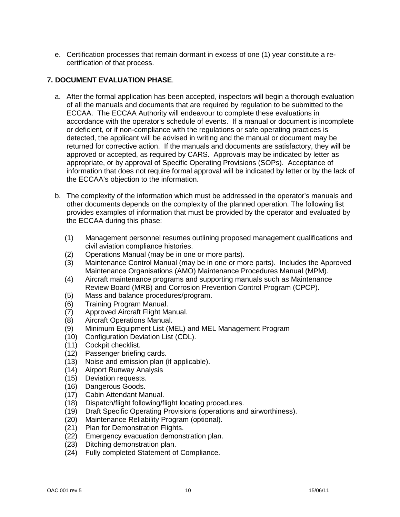e. Certification processes that remain dormant in excess of one (1) year constitute a recertification of that process.

#### **7. DOCUMENT EVALUATION PHASE**.

- a. After the formal application has been accepted, inspectors will begin a thorough evaluation of all the manuals and documents that are required by regulation to be submitted to the ECCAA. The ECCAA Authority will endeavour to complete these evaluations in accordance with the operator's schedule of events. If a manual or document is incomplete or deficient, or if non-compliance with the regulations or safe operating practices is detected, the applicant will be advised in writing and the manual or document may be returned for corrective action. If the manuals and documents are satisfactory, they will be approved or accepted, as required by CARS. Approvals may be indicated by letter as appropriate, or by approval of Specific Operating Provisions (SOPs). Acceptance of information that does not require formal approval will be indicated by letter or by the lack of the ECCAA's objection to the information.
- b. The complexity of the information which must be addressed in the operator's manuals and other documents depends on the complexity of the planned operation. The following list provides examples of information that must be provided by the operator and evaluated by the ECCAA during this phase:
	- (1) Management personnel resumes outlining proposed management qualifications and civil aviation compliance histories.
	- (2) Operations Manual (may be in one or more parts).
	- (3) Maintenance Control Manual (may be in one or more parts). Includes the Approved Maintenance Organisations (AMO) Maintenance Procedures Manual (MPM).
	- (4) Aircraft maintenance programs and supporting manuals such as Maintenance Review Board (MRB) and Corrosion Prevention Control Program (CPCP).
	- (5) Mass and balance procedures/program.
	- (6) Training Program Manual.
	- (7) Approved Aircraft Flight Manual.
	- (8) Aircraft Operations Manual.
	- (9) Minimum Equipment List (MEL) and MEL Management Program
	- (10) Configuration Deviation List (CDL).
	- (11) Cockpit checklist.
	- (12) Passenger briefing cards.
	- (13) Noise and emission plan (if applicable).
	- (14) Airport Runway Analysis
	- (15) Deviation requests.
	- (16) Dangerous Goods.
	- (17) Cabin Attendant Manual.
	- (18) Dispatch/flight following/flight locating procedures.
	- (19) Draft Specific Operating Provisions (operations and airworthiness).
	- (20) Maintenance Reliability Program (optional).
	- (21) Plan for Demonstration Flights.
	- (22) Emergency evacuation demonstration plan.
	- (23) Ditching demonstration plan.
	- (24) Fully completed Statement of Compliance.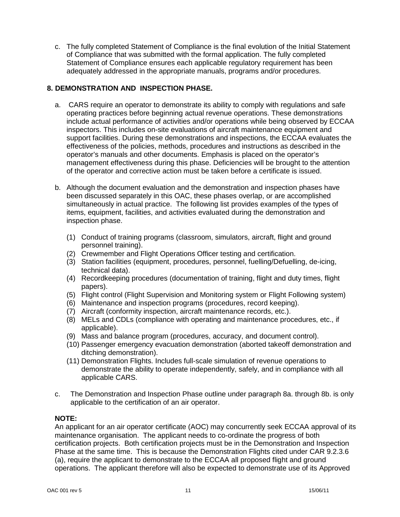c. The fully completed Statement of Compliance is the final evolution of the Initial Statement of Compliance that was submitted with the formal application. The fully completed Statement of Compliance ensures each applicable regulatory requirement has been adequately addressed in the appropriate manuals, programs and/or procedures.

# **8. DEMONSTRATION AND INSPECTION PHASE.**

- a. CARS require an operator to demonstrate its ability to comply with regulations and safe operating practices before beginning actual revenue operations. These demonstrations include actual performance of activities and/or operations while being observed by ECCAA inspectors. This includes on-site evaluations of aircraft maintenance equipment and support facilities. During these demonstrations and inspections, the ECCAA evaluates the effectiveness of the policies, methods, procedures and instructions as described in the operator's manuals and other documents. Emphasis is placed on the operator's management effectiveness during this phase. Deficiencies will be brought to the attention of the operator and corrective action must be taken before a certificate is issued.
- b. Although the document evaluation and the demonstration and inspection phases have been discussed separately in this OAC, these phases overlap, or are accomplished simultaneously in actual practice. The following list provides examples of the types of items, equipment, facilities, and activities evaluated during the demonstration and inspection phase.
	- (1) Conduct of training programs (classroom, simulators, aircraft, flight and ground personnel training).
	- (2) Crewmember and Flight Operations Officer testing and certification.
	- (3) Station facilities (equipment, procedures, personnel, fuelling/Defuelling, de-icing, technical data).
	- (4) Recordkeeping procedures (documentation of training, flight and duty times, flight papers).
	- (5) Flight control (Flight Supervision and Monitoring system or Flight Following system)
	- (6) Maintenance and inspection programs (procedures, record keeping).
	- (7) Aircraft (conformity inspection, aircraft maintenance records, etc.).
	- (8) MELs and CDLs (compliance with operating and maintenance procedures, etc., if applicable).
	- (9) Mass and balance program (procedures, accuracy, and document control).
	- (10) Passenger emergency evacuation demonstration (aborted takeoff demonstration and ditching demonstration).
	- (11) Demonstration Flights. Includes full-scale simulation of revenue operations to demonstrate the ability to operate independently, safely, and in compliance with all applicable CARS.
- c. The Demonstration and Inspection Phase outline under paragraph 8a. through 8b. is only applicable to the certification of an air operator.

# **NOTE:**

An applicant for an air operator certificate (AOC) may concurrently seek ECCAA approval of its maintenance organisation. The applicant needs to co-ordinate the progress of both certification projects. Both certification projects must be in the Demonstration and Inspection Phase at the same time. This is because the Demonstration Flights cited under CAR 9.2.3.6 (a), require the applicant to demonstrate to the ECCAA all proposed flight and ground operations. The applicant therefore will also be expected to demonstrate use of its Approved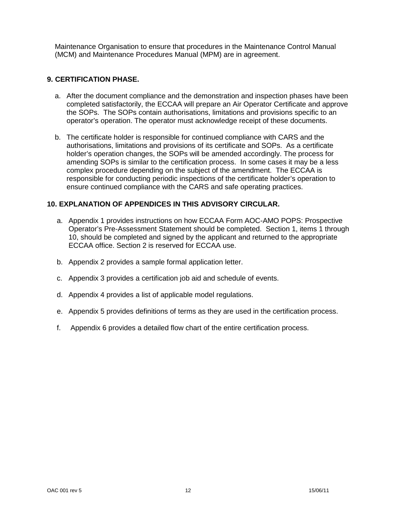Maintenance Organisation to ensure that procedures in the Maintenance Control Manual (MCM) and Maintenance Procedures Manual (MPM) are in agreement.

# **9. CERTIFICATION PHASE.**

- a. After the document compliance and the demonstration and inspection phases have been completed satisfactorily, the ECCAA will prepare an Air Operator Certificate and approve the SOPs. The SOPs contain authorisations, limitations and provisions specific to an operator's operation. The operator must acknowledge receipt of these documents.
- b. The certificate holder is responsible for continued compliance with CARS and the authorisations, limitations and provisions of its certificate and SOPs. As a certificate holder's operation changes, the SOPs will be amended accordingly. The process for amending SOPs is similar to the certification process. In some cases it may be a less complex procedure depending on the subject of the amendment. The ECCAA is responsible for conducting periodic inspections of the certificate holder's operation to ensure continued compliance with the CARS and safe operating practices.

# **10. EXPLANATION OF APPENDICES IN THIS ADVISORY CIRCULAR.**

- a. Appendix 1 provides instructions on how ECCAA Form AOC-AMO POPS: Prospective Operator's Pre-Assessment Statement should be completed. Section 1, items 1 through 10, should be completed and signed by the applicant and returned to the appropriate ECCAA office. Section 2 is reserved for ECCAA use.
- b. Appendix 2 provides a sample formal application letter.
- c. Appendix 3 provides a certification job aid and schedule of events.
- d. Appendix 4 provides a list of applicable model regulations.
- e. Appendix 5 provides definitions of terms as they are used in the certification process.
- f. Appendix 6 provides a detailed flow chart of the entire certification process.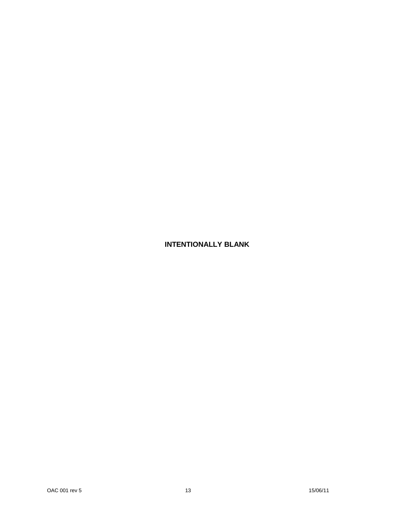# **INTENTIONALLY BLANK**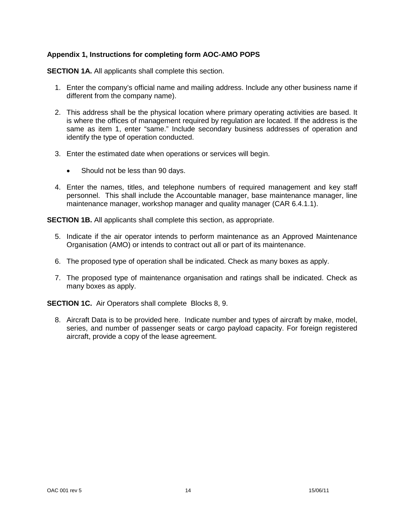# **Appendix 1, Instructions for completing form AOC-AMO POPS**

**SECTION 1A.** All applicants shall complete this section.

- 1. Enter the company's official name and mailing address. Include any other business name if different from the company name).
- 2. This address shall be the physical location where primary operating activities are based. It is where the offices of management required by regulation are located. If the address is the same as item 1, enter "same." Include secondary business addresses of operation and identify the type of operation conducted.
- 3. Enter the estimated date when operations or services will begin.
	- Should not be less than 90 days.
- 4. Enter the names, titles, and telephone numbers of required management and key staff personnel. This shall include the Accountable manager, base maintenance manager, line maintenance manager, workshop manager and quality manager (CAR 6.4.1.1).

**SECTION 1B.** All applicants shall complete this section, as appropriate.

- 5. Indicate if the air operator intends to perform maintenance as an Approved Maintenance Organisation (AMO) or intends to contract out all or part of its maintenance.
- 6. The proposed type of operation shall be indicated. Check as many boxes as apply.
- 7. The proposed type of maintenance organisation and ratings shall be indicated. Check as many boxes as apply.

**SECTION 1C.** Air Operators shall complete Blocks 8, 9.

8. Aircraft Data is to be provided here. Indicate number and types of aircraft by make, model, series, and number of passenger seats or cargo payload capacity. For foreign registered aircraft, provide a copy of the lease agreement.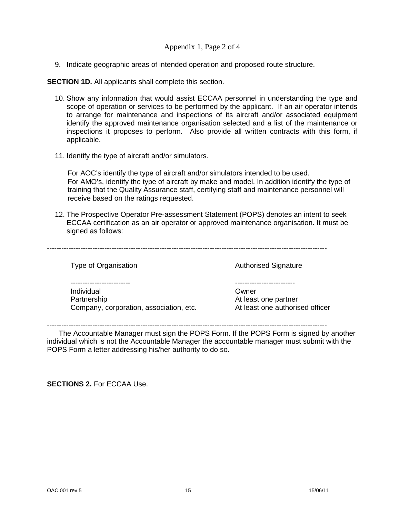# Appendix 1, Page 2 of 4

9. Indicate geographic areas of intended operation and proposed route structure.

**SECTION 1D.** All applicants shall complete this section.

- 10. Show any information that would assist ECCAA personnel in understanding the type and scope of operation or services to be performed by the applicant. If an air operator intends to arrange for maintenance and inspections of its aircraft and/or associated equipment identify the approved maintenance organisation selected and a list of the maintenance or inspections it proposes to perform. Also provide all written contracts with this form, if applicable.
- 11. Identify the type of aircraft and/or simulators.

For AOC's identify the type of aircraft and/or simulators intended to be used. For AMO's, identify the type of aircraft by make and model. In addition identify the type of training that the Quality Assurance staff, certifying staff and maintenance personnel will receive based on the ratings requested.

12. The Prospective Operator Pre-assessment Statement (POPS) denotes an intent to seek ECCAA certification as an air operator or approved maintenance organisation. It must be signed as follows:

Type of Organisation **Authorised Signature** Authorised Signature

------------------------- ------------------------- Individual Owner Partnership **At least one partner** At least one partner Company, corporation, association, etc. At least one authorised officer

---------------------------------------------------------------------------------------------------------------------

The Accountable Manager must sign the POPS Form. If the POPS Form is signed by another individual which is not the Accountable Manager the accountable manager must submit with the POPS Form a letter addressing his/her authority to do so.

**SECTIONS 2.** For ECCAA Use.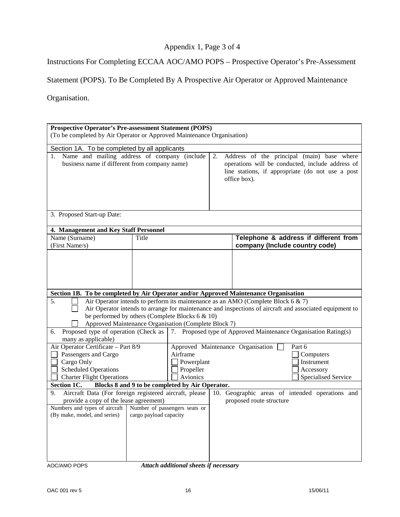# Appendix 1, Page 3 of 4

Instructions For Completing ECCAA AOC/AMO POPS – Prospective Operator's Pre-Assessment

Statement (POPS). To Be Completed By A Prospective Air Operator or Approved Maintenance

Organisation.

|                                                                                                                                                                         | <b>Prospective Operator's Pre-assessment Statement (POPS)</b><br>(To be completed by Air Operator or Approved Maintenance Organisation) |                                                 |                                                                                                                                                                          |                                                                                                                                                                                                 |  |  |  |
|-------------------------------------------------------------------------------------------------------------------------------------------------------------------------|-----------------------------------------------------------------------------------------------------------------------------------------|-------------------------------------------------|--------------------------------------------------------------------------------------------------------------------------------------------------------------------------|-------------------------------------------------------------------------------------------------------------------------------------------------------------------------------------------------|--|--|--|
|                                                                                                                                                                         |                                                                                                                                         |                                                 |                                                                                                                                                                          |                                                                                                                                                                                                 |  |  |  |
| Section 1A. To be completed by all applicants                                                                                                                           |                                                                                                                                         |                                                 |                                                                                                                                                                          |                                                                                                                                                                                                 |  |  |  |
| Name and mailing address of company (include<br>1.<br>business name if different from company name)                                                                     |                                                                                                                                         |                                                 | Address of the principal (main) base where<br>2.<br>operations will be conducted, include address of<br>line stations, if appropriate (do not use a post<br>office box). |                                                                                                                                                                                                 |  |  |  |
| 3. Proposed Start-up Date:                                                                                                                                              |                                                                                                                                         |                                                 |                                                                                                                                                                          |                                                                                                                                                                                                 |  |  |  |
| 4. Management and Key Staff Personnel                                                                                                                                   |                                                                                                                                         |                                                 |                                                                                                                                                                          |                                                                                                                                                                                                 |  |  |  |
| Name (Surname)<br>(First Name/s)                                                                                                                                        | Title                                                                                                                                   |                                                 |                                                                                                                                                                          | Telephone & address if different from<br>company (Include country code)                                                                                                                         |  |  |  |
|                                                                                                                                                                         |                                                                                                                                         |                                                 |                                                                                                                                                                          |                                                                                                                                                                                                 |  |  |  |
| Section 1B. To be completed by Air Operator and/or Approved Maintenance Organisation                                                                                    |                                                                                                                                         |                                                 |                                                                                                                                                                          |                                                                                                                                                                                                 |  |  |  |
| 5.<br>be performed by others (Complete Blocks $6 \& 10$ )<br>Approved Maintenance Organisation (Complete Block 7)                                                       |                                                                                                                                         |                                                 |                                                                                                                                                                          | Air Operator intends to perform its maintenance as an AMO (Complete Block $6 \& 7$ )<br>Air Operator intends to arrange for maintenance and inspections of aircraft and associated equipment to |  |  |  |
| Proposed type of operation (Check as<br>6.<br>many as applicable)                                                                                                       |                                                                                                                                         |                                                 |                                                                                                                                                                          | 7. Proposed type of Approved Maintenance Organisation Rating(s)                                                                                                                                 |  |  |  |
| Air Operator Certificate - Part 8/9<br>Passengers and Cargo<br>Cargo Only<br><b>Scheduled Operations</b><br><b>Charter Flight Operations</b>                            |                                                                                                                                         | Airframe<br>Powerplant<br>Propeller<br>Avionics |                                                                                                                                                                          | Approved Maintenance Organisation<br>Part 6<br>Computers<br>Instrument<br>Accessory<br>Specialised Service                                                                                      |  |  |  |
| Section 1C.                                                                                                                                                             |                                                                                                                                         | Blocks 8 and 9 to be completed by Air Operator. |                                                                                                                                                                          |                                                                                                                                                                                                 |  |  |  |
| Aircraft Data (For foreign registered aircraft, please<br>9.<br>provide a copy of the lease agreement)<br>Numbers and types of aircraft<br>(By make, model, and series) | cargo payload capacity                                                                                                                  | Number of passengers seats or                   |                                                                                                                                                                          | 10. Geographic areas of intended operations and<br>proposed route structure                                                                                                                     |  |  |  |

AOC/AMO POPS *Attach additional sheets if necessary*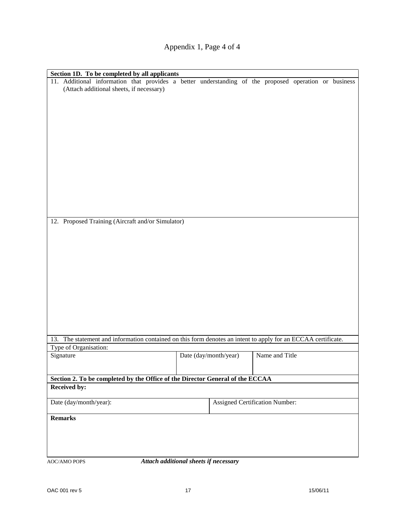| Section 1D. To be completed by all applicants                                                                                                     |  |                       |  |                                       |  |  |
|---------------------------------------------------------------------------------------------------------------------------------------------------|--|-----------------------|--|---------------------------------------|--|--|
| 11. Additional information that provides a better understanding of the proposed operation or business<br>(Attach additional sheets, if necessary) |  |                       |  |                                       |  |  |
|                                                                                                                                                   |  |                       |  |                                       |  |  |
|                                                                                                                                                   |  |                       |  |                                       |  |  |
|                                                                                                                                                   |  |                       |  |                                       |  |  |
|                                                                                                                                                   |  |                       |  |                                       |  |  |
|                                                                                                                                                   |  |                       |  |                                       |  |  |
|                                                                                                                                                   |  |                       |  |                                       |  |  |
|                                                                                                                                                   |  |                       |  |                                       |  |  |
|                                                                                                                                                   |  |                       |  |                                       |  |  |
|                                                                                                                                                   |  |                       |  |                                       |  |  |
|                                                                                                                                                   |  |                       |  |                                       |  |  |
|                                                                                                                                                   |  |                       |  |                                       |  |  |
|                                                                                                                                                   |  |                       |  |                                       |  |  |
|                                                                                                                                                   |  |                       |  |                                       |  |  |
| 12. Proposed Training (Aircraft and/or Simulator)                                                                                                 |  |                       |  |                                       |  |  |
|                                                                                                                                                   |  |                       |  |                                       |  |  |
|                                                                                                                                                   |  |                       |  |                                       |  |  |
|                                                                                                                                                   |  |                       |  |                                       |  |  |
|                                                                                                                                                   |  |                       |  |                                       |  |  |
|                                                                                                                                                   |  |                       |  |                                       |  |  |
|                                                                                                                                                   |  |                       |  |                                       |  |  |
|                                                                                                                                                   |  |                       |  |                                       |  |  |
|                                                                                                                                                   |  |                       |  |                                       |  |  |
|                                                                                                                                                   |  |                       |  |                                       |  |  |
|                                                                                                                                                   |  |                       |  |                                       |  |  |
|                                                                                                                                                   |  |                       |  |                                       |  |  |
|                                                                                                                                                   |  |                       |  |                                       |  |  |
| 13. The statement and information contained on this form denotes an intent to apply for an ECCAA certificate.                                     |  |                       |  |                                       |  |  |
| Type of Organisation:                                                                                                                             |  |                       |  |                                       |  |  |
| Signature                                                                                                                                         |  | Date (day/month/year) |  | Name and Title                        |  |  |
|                                                                                                                                                   |  |                       |  |                                       |  |  |
| Section 2. To be completed by the Office of the Director General of the ECCAA                                                                     |  |                       |  |                                       |  |  |
| Received by:                                                                                                                                      |  |                       |  |                                       |  |  |
|                                                                                                                                                   |  |                       |  |                                       |  |  |
|                                                                                                                                                   |  |                       |  | <b>Assigned Certification Number:</b> |  |  |
| Date (day/month/year):                                                                                                                            |  |                       |  |                                       |  |  |
| <b>Remarks</b>                                                                                                                                    |  |                       |  |                                       |  |  |
|                                                                                                                                                   |  |                       |  |                                       |  |  |
|                                                                                                                                                   |  |                       |  |                                       |  |  |
|                                                                                                                                                   |  |                       |  |                                       |  |  |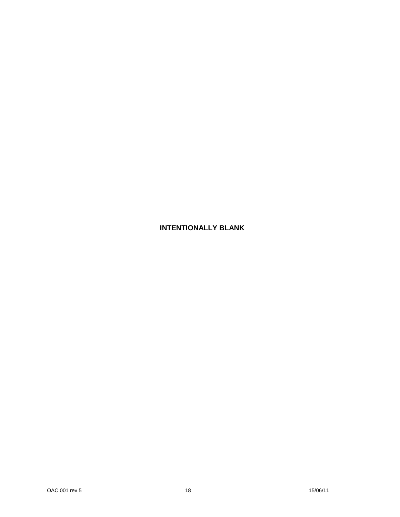# **INTENTIONALLY BLANK**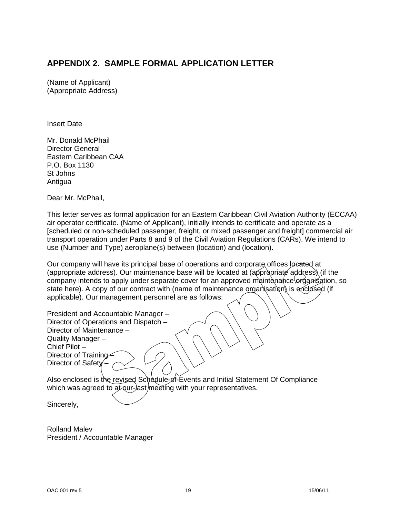# **APPENDIX 2. SAMPLE FORMAL APPLICATION LETTER**

(Name of Applicant) (Appropriate Address)

Insert Date

Mr. Donald McPhail Director General Eastern Caribbean CAA P.O. Box 1130 St Johns Antigua

Dear Mr. McPhail,

This letter serves as formal application for an Eastern Caribbean Civil Aviation Authority (ECCAA) air operator certificate. (Name of Applicant), initially intends to certificate and operate as a [scheduled or non-scheduled passenger, freight, or mixed passenger and freight] commercial air transport operation under Parts 8 and 9 of the Civil Aviation Regulations (CARs). We intend to use (Number and Type) aeroplane(s) between (location) and (location).

Our company will have its principal base of operations and corporate offices located at (appropriate address). Our maintenance base will be located at (appropriate address) (if the company intends to apply under separate cover for an approved maintenance organisation, so state here). A copy of our contract with (name of maintenance organisation) is enclosed (if applicable). Our management personnel are as follows:

President and Accountable Manager – Director of Operations and Dispatch – Director of Maintenance – Quality Manager – Chief Pilot – Director of Training Director of Safety $-$ 

Also enclosed is the revised Schedule-of-Events and Initial Statement Of Compliance which was agreed to at our-last meeting with your representatives.

Sincerely,

Rolland Malev President / Accountable Manager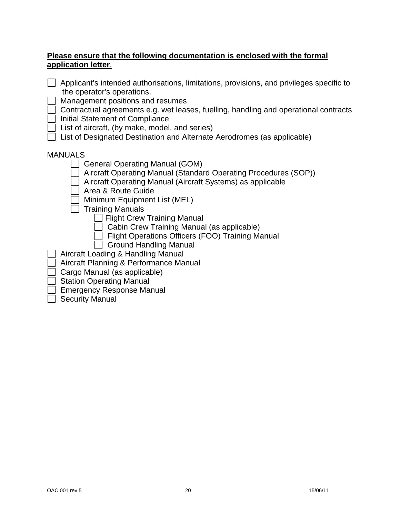# **Please ensure that the following documentation is enclosed with the formal application letter**.

 $\Box$  Applicant's intended authorisations, limitations, provisions, and privileges specific to the operator's operations.

Management positions and resumes

Contractual agreements e.g. wet leases, fuelling, handling and operational contracts

- Initial Statement of Compliance
- List of aircraft, (by make, model, and series)
- List of Designated Destination and Alternate Aerodromes (as applicable)

# **MANUALS**

- General Operating Manual (GOM)
- Aircraft Operating Manual (Standard Operating Procedures (SOP))
- Aircraft Operating Manual (Aircraft Systems) as applicable
- Area & Route Guide
- Minimum Equipment List (MEL)

 $\sqcap$  Training Manuals

- $\Box$  Flight Crew Training Manual
- Cabin Crew Training Manual (as applicable)
- Flight Operations Officers (FOO) Training Manual
- Ground Handling Manual
- Aircraft Loading & Handling Manual
- Aircraft Planning & Performance Manual
- Cargo Manual (as applicable)
- Station Operating Manual
- Emergency Response Manual
- Security Manual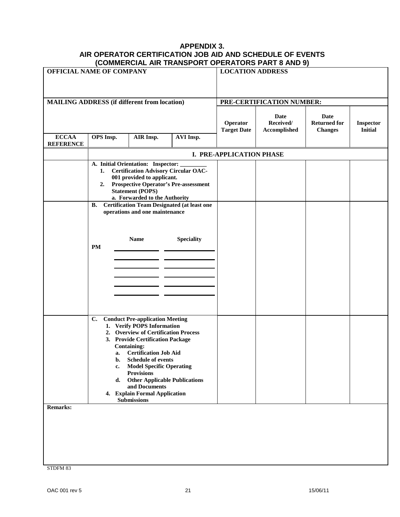|                                  |                                                     |                                                                                                                                                                                                                                                                                                                                                                                                             |                                                                                                                         |                                   | politicial and marter of the transformation of the of |                                    |  |
|----------------------------------|-----------------------------------------------------|-------------------------------------------------------------------------------------------------------------------------------------------------------------------------------------------------------------------------------------------------------------------------------------------------------------------------------------------------------------------------------------------------------------|-------------------------------------------------------------------------------------------------------------------------|-----------------------------------|-------------------------------------------------------|------------------------------------|--|
|                                  | OFFICIAL NAME OF COMPANY                            |                                                                                                                                                                                                                                                                                                                                                                                                             |                                                                                                                         | <b>LOCATION ADDRESS</b>           |                                                       |                                    |  |
|                                  |                                                     |                                                                                                                                                                                                                                                                                                                                                                                                             |                                                                                                                         |                                   |                                                       |                                    |  |
|                                  |                                                     |                                                                                                                                                                                                                                                                                                                                                                                                             |                                                                                                                         |                                   |                                                       |                                    |  |
|                                  | <b>MAILING ADDRESS (if different from location)</b> |                                                                                                                                                                                                                                                                                                                                                                                                             |                                                                                                                         |                                   | PRE-CERTIFICATION NUMBER:                             |                                    |  |
|                                  |                                                     |                                                                                                                                                                                                                                                                                                                                                                                                             | Operator<br><b>Target Date</b>                                                                                          | Date<br>Received/<br>Accomplished | Date<br><b>Returned for</b><br><b>Changes</b>         | <b>Inspector</b><br><b>Initial</b> |  |
| <b>ECCAA</b><br><b>REFERENCE</b> | OPS Insp.                                           | AIR Insp.                                                                                                                                                                                                                                                                                                                                                                                                   | AVI Insp.                                                                                                               |                                   |                                                       |                                    |  |
|                                  |                                                     |                                                                                                                                                                                                                                                                                                                                                                                                             |                                                                                                                         | I. PRE-APPLICATION PHASE          |                                                       |                                    |  |
|                                  | 1.<br>2.<br><b>B.</b><br><b>PM</b>                  | A. Initial Orientation: Inspector: ___<br><b>Certification Advisory Circular OAC-</b><br>001 provided to applicant.<br><b>Statement (POPS)</b><br>a. Forwarded to the Authority<br>operations and one maintenance<br><b>Name</b>                                                                                                                                                                            | <b>Prospective Operator's Pre-assessment</b><br><b>Certification Team Designated (at least one</b><br><b>Speciality</b> |                                   |                                                       |                                    |  |
|                                  |                                                     |                                                                                                                                                                                                                                                                                                                                                                                                             |                                                                                                                         |                                   |                                                       |                                    |  |
|                                  | C.<br>a.<br>b.<br>c.<br>d.                          | <b>Conduct Pre-application Meeting</b><br>1. Verify POPS Information<br>2. Overview of Certification Process<br>3. Provide Certification Package<br><b>Containing:</b><br><b>Certification Job Aid</b><br><b>Schedule of events</b><br><b>Model Specific Operating</b><br><b>Provisions</b><br><b>Other Applicable Publications</b><br>and Documents<br>4. Explain Formal Application<br><b>Submissions</b> |                                                                                                                         |                                   |                                                       |                                    |  |
| <b>Remarks:</b>                  |                                                     |                                                                                                                                                                                                                                                                                                                                                                                                             |                                                                                                                         |                                   |                                                       |                                    |  |

STDFM 83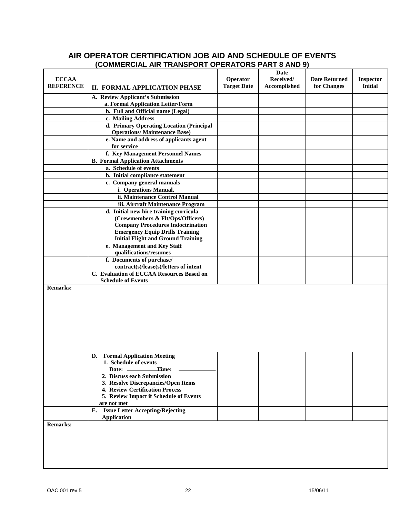|                                  |                                                                        | ,, ,,,,,,                      |                                   |                                     |                             |
|----------------------------------|------------------------------------------------------------------------|--------------------------------|-----------------------------------|-------------------------------------|-----------------------------|
| <b>ECCAA</b><br><b>REFERENCE</b> | II. FORMAL APPLICATION PHASE                                           | Operator<br><b>Target Date</b> | Date<br>Received/<br>Accomplished | <b>Date Returned</b><br>for Changes | Inspector<br><b>Initial</b> |
|                                  | A. Review Applicant's Submission                                       |                                |                                   |                                     |                             |
|                                  | a. Formal Application Letter/Form                                      |                                |                                   |                                     |                             |
|                                  | b. Full and Official name (Legal)                                      |                                |                                   |                                     |                             |
|                                  | c. Mailing Address                                                     |                                |                                   |                                     |                             |
|                                  | d. Primary Operating Location (Principal                               |                                |                                   |                                     |                             |
|                                  | <b>Operations/Maintenance Base)</b>                                    |                                |                                   |                                     |                             |
|                                  | e. Name and address of applicants agent                                |                                |                                   |                                     |                             |
|                                  | for service                                                            |                                |                                   |                                     |                             |
|                                  | f. Key Management Personnel Names                                      |                                |                                   |                                     |                             |
|                                  | <b>B.</b> Formal Application Attachments                               |                                |                                   |                                     |                             |
|                                  | a. Schedule of events                                                  |                                |                                   |                                     |                             |
|                                  | b. Initial compliance statement                                        |                                |                                   |                                     |                             |
|                                  | c. Company general manuals                                             |                                |                                   |                                     |                             |
|                                  | i. Operations Manual.                                                  |                                |                                   |                                     |                             |
|                                  | ii. Maintenance Control Manual                                         |                                |                                   |                                     |                             |
|                                  | iii. Aircraft Maintenance Program                                      |                                |                                   |                                     |                             |
|                                  | d. Initial new hire training curricula                                 |                                |                                   |                                     |                             |
|                                  | (Crewmembers & Flt/Ops/Officers)                                       |                                |                                   |                                     |                             |
|                                  | <b>Company Procedures Indoctrination</b>                               |                                |                                   |                                     |                             |
|                                  | <b>Emergency Equip Drills Training</b>                                 |                                |                                   |                                     |                             |
|                                  | <b>Initial Flight and Ground Training</b>                              |                                |                                   |                                     |                             |
|                                  | e. Management and Key Staff                                            |                                |                                   |                                     |                             |
|                                  | qualifications/resumes                                                 |                                |                                   |                                     |                             |
|                                  | f. Documents of purchase/                                              |                                |                                   |                                     |                             |
|                                  | contract(s)/lease(s)/letters of intent                                 |                                |                                   |                                     |                             |
|                                  | C. Evaluation of ECCAA Resources Based on<br><b>Schedule of Events</b> |                                |                                   |                                     |                             |
| <b>Remarks:</b>                  |                                                                        |                                |                                   |                                     |                             |
|                                  |                                                                        |                                |                                   |                                     |                             |
|                                  |                                                                        |                                |                                   |                                     |                             |
|                                  |                                                                        |                                |                                   |                                     |                             |
|                                  | D. Formal Application Meeting                                          |                                |                                   |                                     |                             |
|                                  | 1. Schedule of events<br>Time:<br>Date: -                              |                                |                                   |                                     |                             |
|                                  | 2. Discuss each Submission                                             |                                |                                   |                                     |                             |
|                                  | 3. Resolve Discrepancies/Open Items                                    |                                |                                   |                                     |                             |
|                                  | <b>4. Review Certification Process</b>                                 |                                |                                   |                                     |                             |
|                                  | 5. Review Impact if Schedule of Events                                 |                                |                                   |                                     |                             |
|                                  | are not met                                                            |                                |                                   |                                     |                             |
|                                  | E. Issue Letter Accepting/Rejecting                                    |                                |                                   |                                     |                             |
|                                  | <b>Application</b>                                                     |                                |                                   |                                     |                             |
| <b>Remarks:</b>                  |                                                                        |                                |                                   |                                     |                             |
|                                  |                                                                        |                                |                                   |                                     |                             |
|                                  |                                                                        |                                |                                   |                                     |                             |
|                                  |                                                                        |                                |                                   |                                     |                             |
|                                  |                                                                        |                                |                                   |                                     |                             |
|                                  |                                                                        |                                |                                   |                                     |                             |
|                                  |                                                                        |                                |                                   |                                     |                             |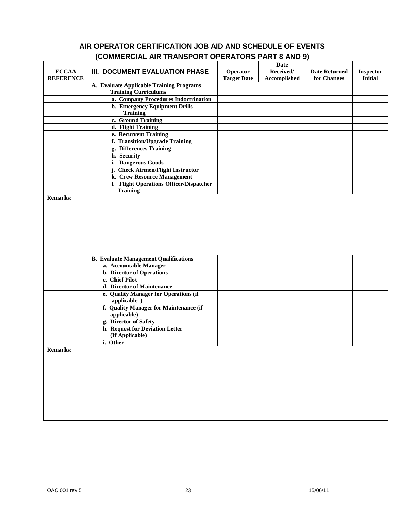| <b>ECCAA</b><br><b>REFERENCE</b> | III. DOCUMENT EVALUATION PHASE                        | Operator<br><b>Target Date</b> | Date<br>Received/<br>Accomplished | <b>Date Returned</b><br>for Changes | <b>Inspector</b><br><b>Initial</b> |
|----------------------------------|-------------------------------------------------------|--------------------------------|-----------------------------------|-------------------------------------|------------------------------------|
|                                  | A. Evaluate Applicable Training Programs              |                                |                                   |                                     |                                    |
|                                  | <b>Training Curriculums</b>                           |                                |                                   |                                     |                                    |
|                                  | a. Company Procedures Indoctrination                  |                                |                                   |                                     |                                    |
|                                  | b. Emergency Equipment Drills                         |                                |                                   |                                     |                                    |
|                                  | <b>Training</b>                                       |                                |                                   |                                     |                                    |
|                                  | c. Ground Training                                    |                                |                                   |                                     |                                    |
|                                  | d. Flight Training                                    |                                |                                   |                                     |                                    |
|                                  | e. Recurrent Training                                 |                                |                                   |                                     |                                    |
|                                  | f. Transition/Upgrade Training                        |                                |                                   |                                     |                                    |
|                                  | g. Differences Training                               |                                |                                   |                                     |                                    |
|                                  | h. Security                                           |                                |                                   |                                     |                                    |
|                                  | i. Dangerous Goods                                    |                                |                                   |                                     |                                    |
|                                  | j. Check Airmen/Flight Instructor                     |                                |                                   |                                     |                                    |
|                                  | k. Crew Resource Management                           |                                |                                   |                                     |                                    |
|                                  | l. Flight Operations Officer/Dispatcher               |                                |                                   |                                     |                                    |
|                                  | <b>Training</b>                                       |                                |                                   |                                     |                                    |
| <b>Remarks:</b>                  |                                                       |                                |                                   |                                     |                                    |
|                                  |                                                       |                                |                                   |                                     |                                    |
|                                  | <b>B.</b> Evaluate Management Qualifications          |                                |                                   |                                     |                                    |
|                                  | a. Accountable Manager                                |                                |                                   |                                     |                                    |
|                                  | b. Director of Operations                             |                                |                                   |                                     |                                    |
|                                  | c. Chief Pilot                                        |                                |                                   |                                     |                                    |
|                                  | d. Director of Maintenance                            |                                |                                   |                                     |                                    |
|                                  | e. Quality Manager for Operations (if<br>applicable ) |                                |                                   |                                     |                                    |
|                                  | f. Quality Manager for Maintenance (if<br>applicable) |                                |                                   |                                     |                                    |
|                                  | g. Director of Safety                                 |                                |                                   |                                     |                                    |
|                                  | h. Request for Deviation Letter                       |                                |                                   |                                     |                                    |
|                                  | (If Applicable)                                       |                                |                                   |                                     |                                    |
|                                  | $\overline{\mathbf{i}}$ . Other                       |                                |                                   |                                     |                                    |
| <b>Remarks:</b>                  |                                                       |                                |                                   |                                     |                                    |
|                                  |                                                       |                                |                                   |                                     |                                    |
|                                  |                                                       |                                |                                   |                                     |                                    |
|                                  |                                                       |                                |                                   |                                     |                                    |
|                                  |                                                       |                                |                                   |                                     |                                    |
|                                  |                                                       |                                |                                   |                                     |                                    |
|                                  |                                                       |                                |                                   |                                     |                                    |
|                                  |                                                       |                                |                                   |                                     |                                    |
|                                  |                                                       |                                |                                   |                                     |                                    |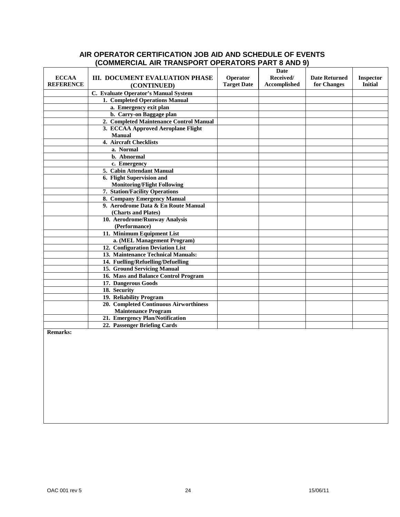|                  |                                         |                    | <b>Date</b>  |                      |                  |
|------------------|-----------------------------------------|--------------------|--------------|----------------------|------------------|
| <b>ECCAA</b>     | <b>III. DOCUMENT EVALUATION PHASE</b>   | Operator           | Received/    | <b>Date Returned</b> | <b>Inspector</b> |
| <b>REFERENCE</b> | (CONTINUED)                             | <b>Target Date</b> | Accomplished | for Changes          | <b>Initial</b>   |
|                  | C. Evaluate Operator's Manual System    |                    |              |                      |                  |
|                  | 1. Completed Operations Manual          |                    |              |                      |                  |
|                  | a. Emergency exit plan                  |                    |              |                      |                  |
|                  | b. Carry-on Baggage plan                |                    |              |                      |                  |
|                  | 2. Completed Maintenance Control Manual |                    |              |                      |                  |
|                  | 3. ECCAA Approved Aeroplane Flight      |                    |              |                      |                  |
|                  | <b>Manual</b>                           |                    |              |                      |                  |
|                  | 4. Aircraft Checklists                  |                    |              |                      |                  |
|                  | a. Normal                               |                    |              |                      |                  |
|                  | b. Abnormal                             |                    |              |                      |                  |
|                  | c. Emergency                            |                    |              |                      |                  |
|                  | 5. Cabin Attendant Manual               |                    |              |                      |                  |
|                  | 6. Flight Supervision and               |                    |              |                      |                  |
|                  | <b>Monitoring/Flight Following</b>      |                    |              |                      |                  |
|                  | 7. Station/Facility Operations          |                    |              |                      |                  |
|                  | 8. Company Emergency Manual             |                    |              |                      |                  |
|                  | 9. Aerodrome Data & En Route Manual     |                    |              |                      |                  |
|                  | (Charts and Plates)                     |                    |              |                      |                  |
|                  | 10. Aerodrome/Runway Analysis           |                    |              |                      |                  |
|                  | (Performance)                           |                    |              |                      |                  |
|                  | 11. Minimum Equipment List              |                    |              |                      |                  |
|                  | a. (MEL Management Program)             |                    |              |                      |                  |
|                  | 12. Configuration Deviation List        |                    |              |                      |                  |
|                  | 13. Maintenance Technical Manuals:      |                    |              |                      |                  |
|                  | 14. Fuelling/Refuelling/Defuelling      |                    |              |                      |                  |
|                  | 15. Ground Servicing Manual             |                    |              |                      |                  |
|                  | 16. Mass and Balance Control Program    |                    |              |                      |                  |
|                  | 17. Dangerous Goods                     |                    |              |                      |                  |
|                  | 18. Security                            |                    |              |                      |                  |
|                  | 19. Reliability Program                 |                    |              |                      |                  |
|                  | 20. Completed Continuous Airworthiness  |                    |              |                      |                  |
|                  | <b>Maintenance Program</b>              |                    |              |                      |                  |
|                  | 21. Emergency Plan/Notification         |                    |              |                      |                  |
|                  | 22. Passenger Briefing Cards            |                    |              |                      |                  |
| <b>Remarks:</b>  |                                         |                    |              |                      |                  |

OAC 001 rev 5 24 24 15/06/11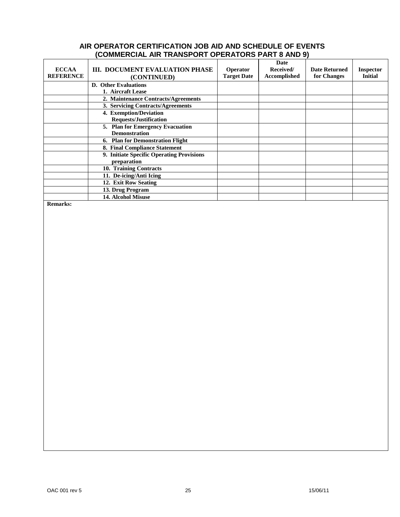|                  |                                           |                    | Date         |                      |                  |
|------------------|-------------------------------------------|--------------------|--------------|----------------------|------------------|
| <b>ECCAA</b>     | <b>III. DOCUMENT EVALUATION PHASE</b>     | <b>Operator</b>    | Received/    | <b>Date Returned</b> | <b>Inspector</b> |
| <b>REFERENCE</b> | (CONTINUED)                               | <b>Target Date</b> | Accomplished | for Changes          | <b>Initial</b>   |
|                  | <b>D.</b> Other Evaluations               |                    |              |                      |                  |
|                  | 1. Aircraft Lease                         |                    |              |                      |                  |
|                  | 2. Maintenance Contracts/Agreements       |                    |              |                      |                  |
|                  | 3. Servicing Contracts/Agreements         |                    |              |                      |                  |
|                  | 4. Exemption/Deviation                    |                    |              |                      |                  |
|                  | <b>Requests/Justification</b>             |                    |              |                      |                  |
|                  | 5. Plan for Emergency Evacuation          |                    |              |                      |                  |
|                  | <b>Demonstration</b>                      |                    |              |                      |                  |
|                  | 6. Plan for Demonstration Flight          |                    |              |                      |                  |
|                  | 8. Final Compliance Statement             |                    |              |                      |                  |
|                  | 9. Initiate Specific Operating Provisions |                    |              |                      |                  |
|                  | preparation                               |                    |              |                      |                  |
|                  | 10. Training Contracts                    |                    |              |                      |                  |
|                  | 11. De-icing/Anti Icing                   |                    |              |                      |                  |
|                  | 12. Exit Row Seating                      |                    |              |                      |                  |
|                  | 13. Drug Program                          |                    |              |                      |                  |
|                  | 14. Alcohol Misuse                        |                    |              |                      |                  |

**Remarks:**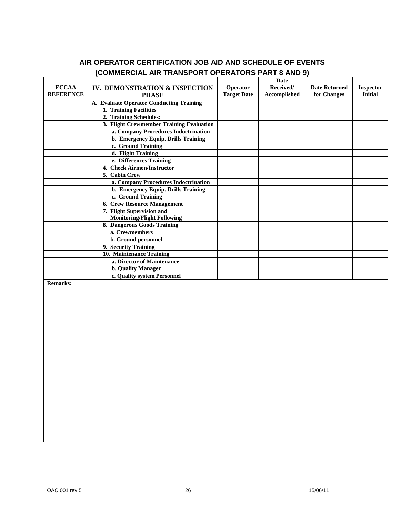| <b>ECCAA</b><br><b>REFERENCE</b> | IV. DEMONSTRATION & INSPECTION<br><b>PHASE</b>                     | Operator<br><b>Target Date</b> | <b>Date</b><br>Received/<br>Accomplished | <b>Date Returned</b><br>for Changes | <b>Inspector</b><br><b>Initial</b> |
|----------------------------------|--------------------------------------------------------------------|--------------------------------|------------------------------------------|-------------------------------------|------------------------------------|
|                                  | A. Evaluate Operator Conducting Training<br>1. Training Facilities |                                |                                          |                                     |                                    |
|                                  | 2. Training Schedules:                                             |                                |                                          |                                     |                                    |
|                                  | 3. Flight Crewmember Training Evaluation                           |                                |                                          |                                     |                                    |
|                                  | a. Company Procedures Indoctrination                               |                                |                                          |                                     |                                    |
|                                  | b. Emergency Equip. Drills Training                                |                                |                                          |                                     |                                    |
|                                  | c. Ground Training                                                 |                                |                                          |                                     |                                    |
|                                  | d. Flight Training                                                 |                                |                                          |                                     |                                    |
|                                  | e. Differences Training                                            |                                |                                          |                                     |                                    |
|                                  | 4. Check Airmen/Instructor                                         |                                |                                          |                                     |                                    |
|                                  | 5. Cabin Crew                                                      |                                |                                          |                                     |                                    |
|                                  | a. Company Procedures Indoctrination                               |                                |                                          |                                     |                                    |
|                                  | b. Emergency Equip. Drills Training                                |                                |                                          |                                     |                                    |
|                                  | c. Ground Training                                                 |                                |                                          |                                     |                                    |
|                                  | <b>6. Crew Resource Management</b>                                 |                                |                                          |                                     |                                    |
|                                  | 7. Flight Supervision and<br><b>Monitoring/Flight Following</b>    |                                |                                          |                                     |                                    |
|                                  | 8. Dangerous Goods Training                                        |                                |                                          |                                     |                                    |
|                                  | a. Crewmembers                                                     |                                |                                          |                                     |                                    |
|                                  | b. Ground personnel                                                |                                |                                          |                                     |                                    |
|                                  | 9. Security Training                                               |                                |                                          |                                     |                                    |
|                                  | 10. Maintenance Training                                           |                                |                                          |                                     |                                    |
|                                  | a. Director of Maintenance                                         |                                |                                          |                                     |                                    |
|                                  | b. Quality Manager                                                 |                                |                                          |                                     |                                    |
| $\mathbf{D}$ and a selection     | c. Quality system Personnel                                        |                                |                                          |                                     |                                    |

**Remarks:**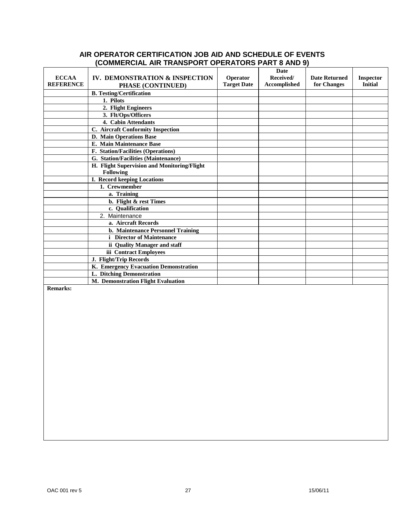|                  |                                             |                    | <b>Date</b>  |                      |                  |
|------------------|---------------------------------------------|--------------------|--------------|----------------------|------------------|
| <b>ECCAA</b>     | IV. DEMONSTRATION & INSPECTION              | Operator           | Received/    | <b>Date Returned</b> | <b>Inspector</b> |
| <b>REFERENCE</b> | PHASE (CONTINUED)                           | <b>Target Date</b> | Accomplished | for Changes          | <b>Initial</b>   |
|                  | <b>B.</b> Testing/Certification             |                    |              |                      |                  |
|                  | 1. Pilots                                   |                    |              |                      |                  |
|                  | 2. Flight Engineers                         |                    |              |                      |                  |
|                  | 3. Flt/Ops/Officers                         |                    |              |                      |                  |
|                  | 4. Cabin Attendants                         |                    |              |                      |                  |
|                  | C. Aircraft Conformity Inspection           |                    |              |                      |                  |
|                  | D. Main Operations Base                     |                    |              |                      |                  |
|                  | E. Main Maintenance Base                    |                    |              |                      |                  |
|                  | F. Station/Facilities (Operations)          |                    |              |                      |                  |
|                  | G. Station/Facilities (Maintenance)         |                    |              |                      |                  |
|                  | H. Flight Supervision and Monitoring/Flight |                    |              |                      |                  |
|                  | <b>Following</b>                            |                    |              |                      |                  |
|                  | I. Record keeping Locations                 |                    |              |                      |                  |
|                  | 1. Crewmember                               |                    |              |                      |                  |
|                  | a. Training                                 |                    |              |                      |                  |
|                  | b. Flight & rest Times                      |                    |              |                      |                  |
|                  | c. Qualification                            |                    |              |                      |                  |
|                  | 2. Maintenance                              |                    |              |                      |                  |
|                  | a. Aircraft Records                         |                    |              |                      |                  |
|                  | b. Maintenance Personnel Training           |                    |              |                      |                  |
|                  | <i>i</i> Director of Maintenance            |                    |              |                      |                  |
|                  | ii Quality Manager and staff                |                    |              |                      |                  |
|                  | iii Contract Employees                      |                    |              |                      |                  |
|                  | J. Flight/Trip Records                      |                    |              |                      |                  |
|                  | K. Emergency Evacuation Demonstration       |                    |              |                      |                  |
|                  | L. Ditching Demonstration                   |                    |              |                      |                  |
|                  | M. Demonstration Flight Evaluation          |                    |              |                      |                  |

**Remarks:**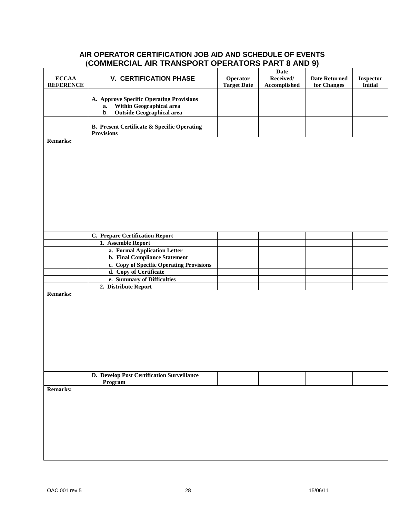|                  | .                                                      |                    | $\mathbf{L}$ . $\mathbf{V}$ . $\mathbf{V}$ . $\mathbf{V}$ . $\mathbf{V}$ . $\mathbf{V}$ . $\mathbf{V}$ | ◡                    |                  |
|------------------|--------------------------------------------------------|--------------------|--------------------------------------------------------------------------------------------------------|----------------------|------------------|
| <b>ECCAA</b>     | <b>V. CERTIFICATION PHASE</b>                          | Operator           | Date<br>Received/                                                                                      | <b>Date Returned</b> | <b>Inspector</b> |
| <b>REFERENCE</b> |                                                        | <b>Target Date</b> | Accomplished                                                                                           | for Changes          | Initial          |
|                  |                                                        |                    |                                                                                                        |                      |                  |
|                  | A. Approve Specific Operating Provisions               |                    |                                                                                                        |                      |                  |
|                  | Within Geographical area<br>a.                         |                    |                                                                                                        |                      |                  |
|                  | <b>Outside Geographical area</b><br>b.                 |                    |                                                                                                        |                      |                  |
|                  |                                                        |                    |                                                                                                        |                      |                  |
|                  | <b>B. Present Certificate &amp; Specific Operating</b> |                    |                                                                                                        |                      |                  |
|                  | <b>Provisions</b>                                      |                    |                                                                                                        |                      |                  |
| <b>Remarks:</b>  |                                                        |                    |                                                                                                        |                      |                  |
|                  |                                                        |                    |                                                                                                        |                      |                  |
|                  |                                                        |                    |                                                                                                        |                      |                  |
|                  |                                                        |                    |                                                                                                        |                      |                  |
|                  |                                                        |                    |                                                                                                        |                      |                  |
|                  |                                                        |                    |                                                                                                        |                      |                  |
|                  |                                                        |                    |                                                                                                        |                      |                  |
|                  |                                                        |                    |                                                                                                        |                      |                  |
|                  |                                                        |                    |                                                                                                        |                      |                  |
|                  |                                                        |                    |                                                                                                        |                      |                  |
|                  |                                                        |                    |                                                                                                        |                      |                  |
|                  |                                                        |                    |                                                                                                        |                      |                  |
|                  |                                                        |                    |                                                                                                        |                      |                  |
|                  |                                                        |                    |                                                                                                        |                      |                  |
|                  | C. Prepare Certification Report                        |                    |                                                                                                        |                      |                  |
|                  | 1. Assemble Report                                     |                    |                                                                                                        |                      |                  |
|                  | a. Formal Application Letter                           |                    |                                                                                                        |                      |                  |
|                  | b. Final Compliance Statement                          |                    |                                                                                                        |                      |                  |
|                  | c. Copy of Specific Operating Provisions               |                    |                                                                                                        |                      |                  |
|                  | d. Copy of Certificate                                 |                    |                                                                                                        |                      |                  |
|                  | e. Summary of Difficulties                             |                    |                                                                                                        |                      |                  |
|                  | 2. Distribute Report                                   |                    |                                                                                                        |                      |                  |
| <b>Remarks:</b>  |                                                        |                    |                                                                                                        |                      |                  |
|                  |                                                        |                    |                                                                                                        |                      |                  |
|                  |                                                        |                    |                                                                                                        |                      |                  |
|                  |                                                        |                    |                                                                                                        |                      |                  |
|                  |                                                        |                    |                                                                                                        |                      |                  |
|                  |                                                        |                    |                                                                                                        |                      |                  |
|                  |                                                        |                    |                                                                                                        |                      |                  |
|                  |                                                        |                    |                                                                                                        |                      |                  |
|                  |                                                        |                    |                                                                                                        |                      |                  |
|                  |                                                        |                    |                                                                                                        |                      |                  |
|                  |                                                        |                    |                                                                                                        |                      |                  |
|                  |                                                        |                    |                                                                                                        |                      |                  |
|                  | D. Develop Post Certification Surveillance             |                    |                                                                                                        |                      |                  |
|                  | Program                                                |                    |                                                                                                        |                      |                  |
| <b>Remarks:</b>  |                                                        |                    |                                                                                                        |                      |                  |
|                  |                                                        |                    |                                                                                                        |                      |                  |
|                  |                                                        |                    |                                                                                                        |                      |                  |
|                  |                                                        |                    |                                                                                                        |                      |                  |
|                  |                                                        |                    |                                                                                                        |                      |                  |
|                  |                                                        |                    |                                                                                                        |                      |                  |
|                  |                                                        |                    |                                                                                                        |                      |                  |
|                  |                                                        |                    |                                                                                                        |                      |                  |
|                  |                                                        |                    |                                                                                                        |                      |                  |
|                  |                                                        |                    |                                                                                                        |                      |                  |
|                  |                                                        |                    |                                                                                                        |                      |                  |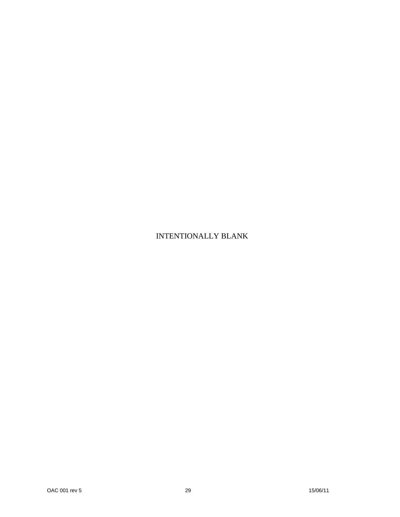# INTENTIONALLY BLANK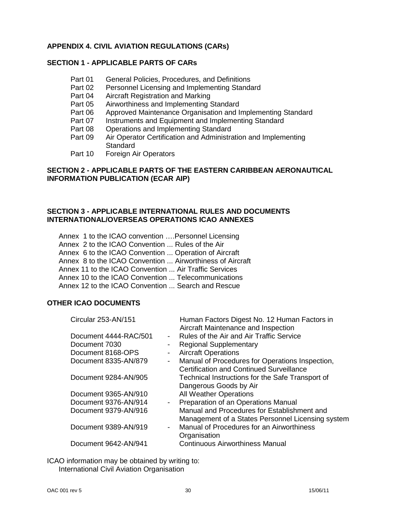# **APPENDIX 4. CIVIL AVIATION REGULATIONS (CARs)**

# **SECTION 1 - APPLICABLE PARTS OF CARs**

- Part 01 General Policies, Procedures, and Definitions<br>Part 02 Personnel Licensing and Implementing Standa
- Personnel Licensing and Implementing Standard
- Part 04 Aircraft Registration and Marking
- Part 05 Airworthiness and Implementing Standard
- Part 06 Approved Maintenance Organisation and Implementing Standard
- Part 07 Instruments and Equipment and Implementing Standard<br>Part 08 Operations and Implementing Standard
- Part 08 Operations and Implementing Standard<br>Part 09 Air Operator Certification and Administra
- Air Operator Certification and Administration and Implementing **Standard**
- Part 10 Foreign Air Operators

# **SECTION 2 - APPLICABLE PARTS OF THE EASTERN CARIBBEAN AERONAUTICAL INFORMATION PUBLICATION (ECAR AIP)**

#### **SECTION 3 - APPLICABLE INTERNATIONAL RULES AND DOCUMENTS INTERNATIONAL/OVERSEAS OPERATIONS ICAO ANNEXES**

Annex 1 to the ICAO convention ….Personnel Licensing Annex 2 to the ICAO Convention ... Rules of the Air Annex 6 to the ICAO Convention ... Operation of Aircraft Annex 8 to the ICAO Convention ... Airworthiness of Aircraft Annex 11 to the ICAO Convention ... Air Traffic Services Annex 10 to the ICAO Convention ... Telecommunications Annex 12 to the ICAO Convention ... Search and Rescue

# **OTHER ICAO DOCUMENTS**

| Circular 253-AN/151   | Human Factors Digest No. 12 Human Factors in<br>Aircraft Maintenance and Inspection |
|-----------------------|-------------------------------------------------------------------------------------|
| Document 4444-RAC/501 | Rules of the Air and Air Traffic Service                                            |
| Document 7030         | <b>Regional Supplementary</b><br>۰.                                                 |
| Document 8168-OPS     | <b>Aircraft Operations</b>                                                          |
| Document 8335-AN/879  | Manual of Procedures for Operations Inspection,<br>-                                |
|                       | <b>Certification and Continued Surveillance</b>                                     |
| Document 9284-AN/905  | Technical Instructions for the Safe Transport of                                    |
|                       | Dangerous Goods by Air                                                              |
| Document 9365-AN/910  | <b>All Weather Operations</b>                                                       |
| Document 9376-AN/914  | - Preparation of an Operations Manual                                               |
| Document 9379-AN/916  | Manual and Procedures for Establishment and                                         |
|                       | Management of a States Personnel Licensing system                                   |
| Document 9389-AN/919  | Manual of Procedures for an Airworthiness<br>$\overline{\phantom{0}}$               |
|                       | Organisation                                                                        |
| Document 9642-AN/941  | <b>Continuous Airworthiness Manual</b>                                              |
|                       |                                                                                     |

ICAO information may be obtained by writing to: International Civil Aviation Organisation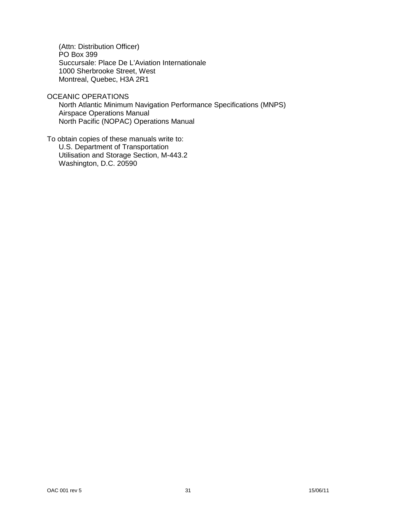(Attn: Distribution Officer) PO Box 399 Succursale: Place De L'Aviation Internationale 1000 Sherbrooke Street, West Montreal, Quebec, H3A 2R1

OCEANIC OPERATIONS

North Atlantic Minimum Navigation Performance Specifications (MNPS) Airspace Operations Manual North Pacific (NOPAC) Operations Manual

To obtain copies of these manuals write to: U.S. Department of Transportation Utilisation and Storage Section, M-443.2 Washington, D.C. 20590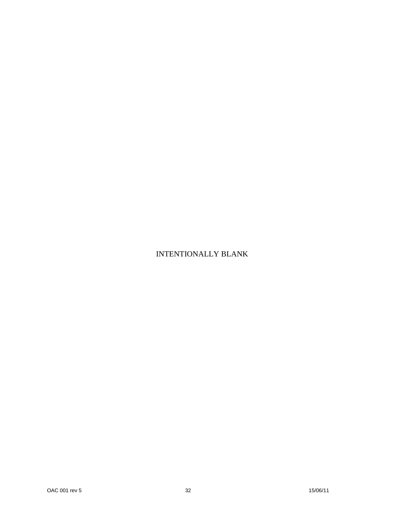# INTENTIONALLY BLANK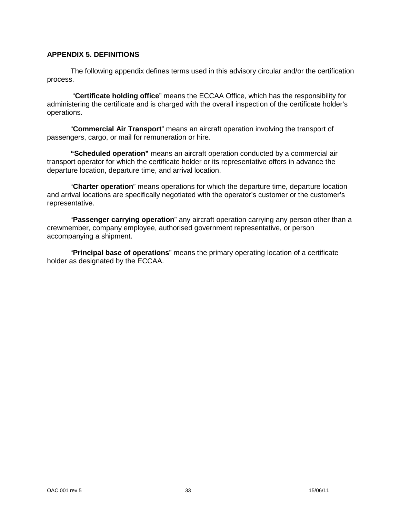#### **APPENDIX 5. DEFINITIONS**

The following appendix defines terms used in this advisory circular and/or the certification process.

"**Certificate holding office**" means the ECCAA Office, which has the responsibility for administering the certificate and is charged with the overall inspection of the certificate holder's operations.

"**Commercial Air Transport**" means an aircraft operation involving the transport of passengers, cargo, or mail for remuneration or hire.

**"Scheduled operation"** means an aircraft operation conducted by a commercial air transport operator for which the certificate holder or its representative offers in advance the departure location, departure time, and arrival location.

"**Charter operation**" means operations for which the departure time, departure location and arrival locations are specifically negotiated with the operator's customer or the customer's representative.

"**Passenger carrying operation**" any aircraft operation carrying any person other than a crewmember, company employee, authorised government representative, or person accompanying a shipment.

"**Principal base of operations**" means the primary operating location of a certificate holder as designated by the ECCAA.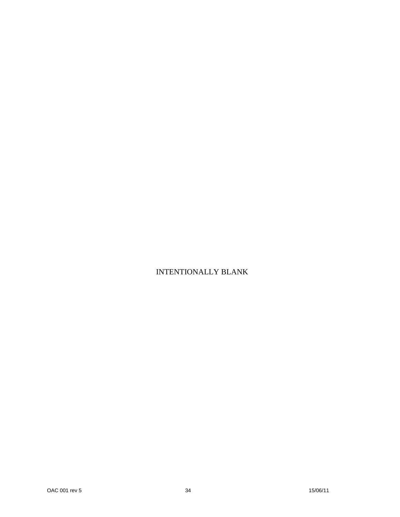# INTENTIONALLY BLANK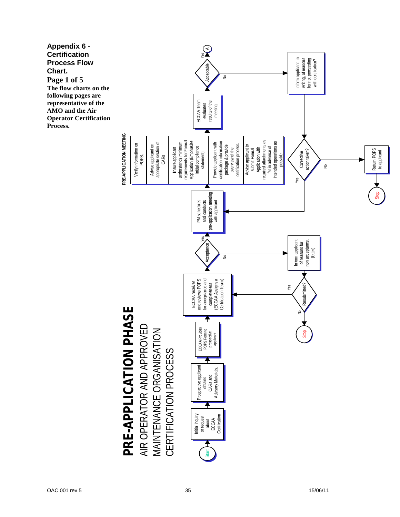

**The flow charts on the following pages are representative of the AMO and the Air Operator Certification Process.**

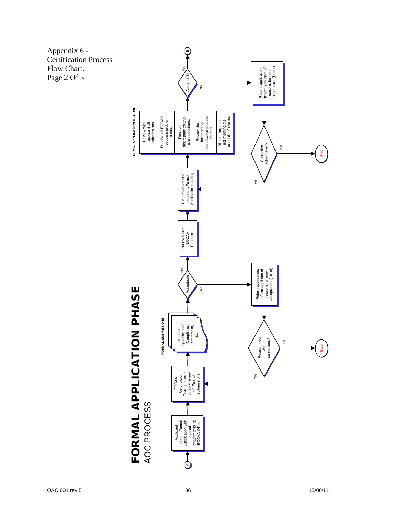

Appendix 6 - Certification Process Flow Chart. Page 2 Of 5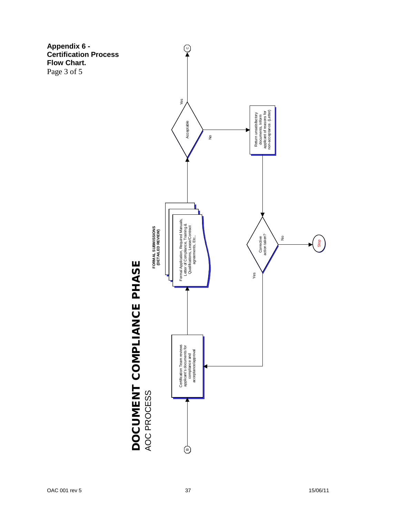

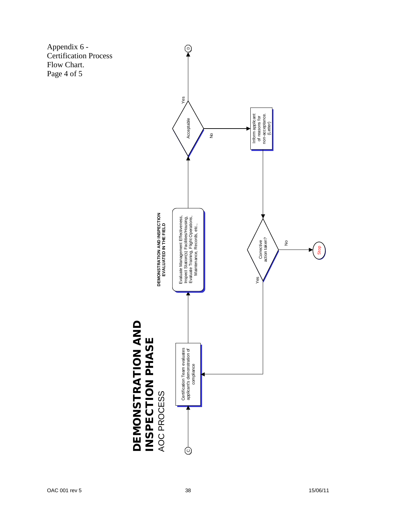